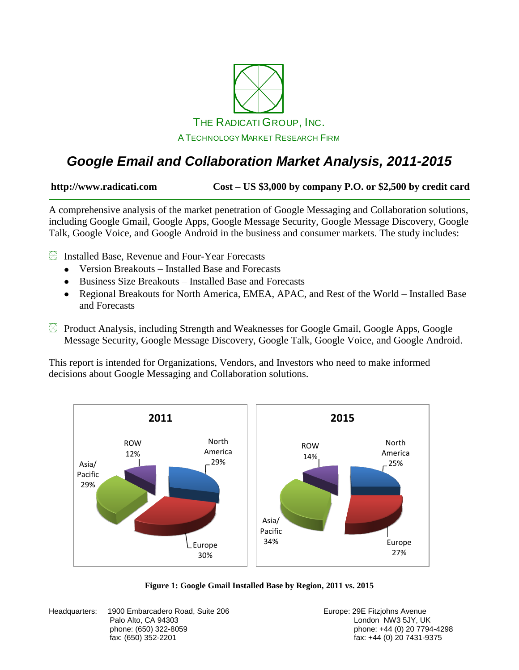

### *Google Email and Collaboration Market Analysis, 2011-2015*

**http://www.radicati.com Cost – US \$3,000 by company P.O. or \$2,500 by credit card**

A comprehensive analysis of the market penetration of Google Messaging and Collaboration solutions, including Google Gmail, Google Apps, Google Message Security, Google Message Discovery, Google Talk, Google Voice, and Google Android in the business and consumer markets. The study includes:

Installed Base, Revenue and Four-Year Forecasts

- Version Breakouts Installed Base and Forecasts
- Business Size Breakouts Installed Base and Forecasts
- Regional Breakouts for North America, EMEA, APAC, and Rest of the World Installed Base and Forecasts
- Product Analysis, including Strength and Weaknesses for Google Gmail, Google Apps, Google Message Security, Google Message Discovery, Google Talk, Google Voice, and Google Android.

This report is intended for Organizations, Vendors, and Investors who need to make informed decisions about Google Messaging and Collaboration solutions.

<span id="page-0-0"></span>

**Figure 1: Google Gmail Installed Base by Region, 2011 vs. 2015**

Headquarters: 1900 Embarcadero Road, Suite 206 **Europe: 29 Europe: 29E Fitzjohns Avenue** Palo Alto, CA 94303 **Disk and Alto, CA 94303** London NW3 5JY, UK

phone: (650) 322-8059 phone: +44 (0) 20 7794-4298  $fax: +44(0)$  20 7431-9375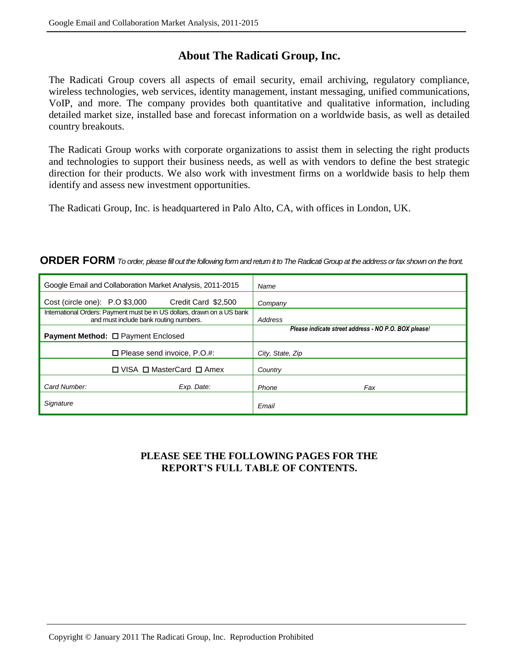### **About The Radicati Group, Inc.**

The Radicati Group covers all aspects of email security, email archiving, regulatory compliance, wireless technologies, web services, identity management, instant messaging, unified communications, VoIP, and more. The company provides both quantitative and qualitative information, including detailed market size, installed base and forecast information on a worldwide basis, as well as detailed country breakouts.

The Radicati Group works with corporate organizations to assist them in selecting the right products and technologies to support their business needs, as well as with vendors to define the best strategic direction for their products. We also work with investment firms on a worldwide basis to help them identify and assess new investment opportunities.

The Radicati Group, Inc. is headquartered in Palo Alto, CA, with offices in London, UK.

#### **ORDER FORM** *To order, please fill out the following form and return it to The Radicati Group at the address or fax shown on the front.*

|                                           | Google Email and Collaboration Market Analysis, 2011-2015                                                         | Name                                                 |
|-------------------------------------------|-------------------------------------------------------------------------------------------------------------------|------------------------------------------------------|
|                                           | $Cost (circle one): P.O$ \$3,000<br>Credit Card \$2,500                                                           | Company                                              |
|                                           | International Orders: Payment must be in US dollars, drawn on a US bank<br>and must include bank routing numbers. | Address                                              |
| <b>Payment Method: □ Payment Enclosed</b> |                                                                                                                   | Please indicate street address - NO P.O. BOX please! |
|                                           | $\Box$ Please send invoice, P.O.#:                                                                                | City, State, Zip                                     |
|                                           | $\Box$ VISA $\Box$ MasterCard $\Box$ Amex                                                                         | Country                                              |
| Card Number:                              | Exp. Date:                                                                                                        | Phone<br>Fax                                         |
| Signature                                 |                                                                                                                   | Email                                                |

### **PLEASE SEE THE FOLLOWING PAGES FOR THE REPORT'S FULL TABLE OF CONTENTS.**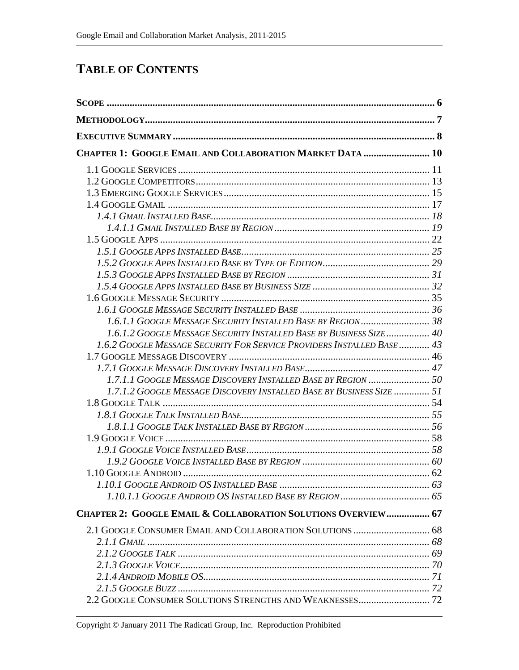### **TABLE OF CONTENTS**

| CHAPTER 1: GOOGLE EMAIL AND COLLABORATION MARKET DATA  10              |  |
|------------------------------------------------------------------------|--|
|                                                                        |  |
|                                                                        |  |
|                                                                        |  |
|                                                                        |  |
|                                                                        |  |
|                                                                        |  |
|                                                                        |  |
|                                                                        |  |
|                                                                        |  |
|                                                                        |  |
|                                                                        |  |
|                                                                        |  |
|                                                                        |  |
|                                                                        |  |
| 1.6.1.2 GOOGLE MESSAGE SECURITY INSTALLED BASE BY BUSINESS SIZE 40     |  |
| 1.6.2 GOOGLE MESSAGE SECURITY FOR SERVICE PROVIDERS INSTALLED BASE  43 |  |
|                                                                        |  |
|                                                                        |  |
|                                                                        |  |
| 1.7.1.2 GOOGLE MESSAGE DISCOVERY INSTALLED BASE BY BUSINESS SIZE  51   |  |
|                                                                        |  |
|                                                                        |  |
|                                                                        |  |
|                                                                        |  |
|                                                                        |  |
|                                                                        |  |
|                                                                        |  |
|                                                                        |  |
|                                                                        |  |
| CHAPTER 2: GOOGLE EMAIL & COLLABORATION SOLUTIONS OVERVIEW 67          |  |
|                                                                        |  |
|                                                                        |  |
|                                                                        |  |
|                                                                        |  |
|                                                                        |  |
|                                                                        |  |
|                                                                        |  |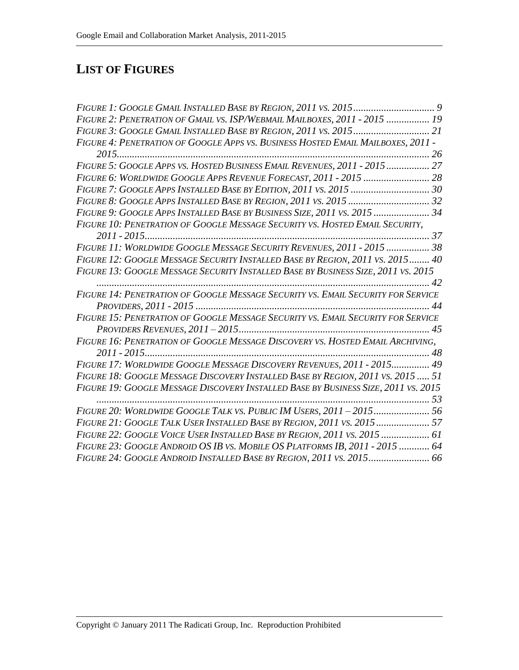# **LIST OF FIGURES**

| FIGURE 2: PENETRATION OF GMAIL VS. ISP/WEBMAIL MAILBOXES, 2011 - 2015  19          |  |
|------------------------------------------------------------------------------------|--|
| FIGURE 3: GOOGLE GMAIL INSTALLED BASE BY REGION, 2011 VS. 2015 21                  |  |
| FIGURE 4: PENETRATION OF GOOGLE APPS VS. BUSINESS HOSTED EMAIL MAILBOXES, 2011 -   |  |
|                                                                                    |  |
| FIGURE 5: GOOGLE APPS VS. HOSTED BUSINESS EMAIL REVENUES, 2011 - 2015 27           |  |
| FIGURE 6: WORLDWIDE GOOGLE APPS REVENUE FORECAST, 2011 - 2015  28                  |  |
| FIGURE 7: GOOGLE APPS INSTALLED BASE BY EDITION, 2011 VS. 2015  30                 |  |
| FIGURE 8: GOOGLE APPS INSTALLED BASE BY REGION, 2011 VS. 2015  32                  |  |
| FIGURE 9: GOOGLE APPS INSTALLED BASE BY BUSINESS SIZE, 2011 VS. 2015  34           |  |
| FIGURE 10: PENETRATION OF GOOGLE MESSAGE SECURITY VS. HOSTED EMAIL SECURITY,       |  |
|                                                                                    |  |
| FIGURE 11: WORLDWIDE GOOGLE MESSAGE SECURITY REVENUES, 2011 - 2015  38             |  |
| FIGURE 12: GOOGLE MESSAGE SECURITY INSTALLED BASE BY REGION, 2011 VS. 2015 40      |  |
| FIGURE 13: GOOGLE MESSAGE SECURITY INSTALLED BASE BY BUSINESS SIZE, 2011 VS. 2015  |  |
|                                                                                    |  |
| FIGURE 14: PENETRATION OF GOOGLE MESSAGE SECURITY VS. EMAIL SECURITY FOR SERVICE   |  |
|                                                                                    |  |
| FIGURE 15: PENETRATION OF GOOGLE MESSAGE SECURITY VS. EMAIL SECURITY FOR SERVICE   |  |
|                                                                                    |  |
| FIGURE 16: PENETRATION OF GOOGLE MESSAGE DISCOVERY VS. HOSTED EMAIL ARCHIVING,     |  |
|                                                                                    |  |
| FIGURE 17: WORLDWIDE GOOGLE MESSAGE DISCOVERY REVENUES, 2011 - 2015 49             |  |
| FIGURE 18: GOOGLE MESSAGE DISCOVERY INSTALLED BASE BY REGION, 2011 VS. 2015  51    |  |
| FIGURE 19: GOOGLE MESSAGE DISCOVERY INSTALLED BASE BY BUSINESS SIZE, 2011 VS. 2015 |  |
|                                                                                    |  |
| FIGURE 20: WORLDWIDE GOOGLE TALK VS. PUBLIC IM USERS, 2011-2015 56                 |  |
| FIGURE 21: GOOGLE TALK USER INSTALLED BASE BY REGION, 2011 VS. 2015 57             |  |
| FIGURE 22: GOOGLE VOICE USER INSTALLED BASE BY REGION, 2011 VS. 2015  61           |  |
| FIGURE 23: GOOGLE ANDROID OS IB VS. MOBILE OS PLATFORMS IB, 2011 - 2015  64        |  |
| FIGURE 24: GOOGLE ANDROID INSTALLED BASE BY REGION, 2011 VS. 2015 66               |  |